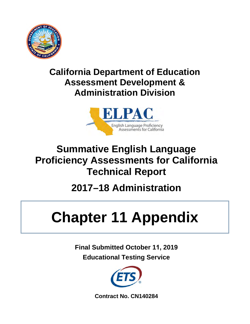

## **California Department of Education Assessment Development & Administration Division**



# **Summative English Language Proficiency Assessments for California Technical Report**

# **2017–18 Administration**

# **Chapter 11 Appendix**

**Final Submitted October 11, 2019 Educational Testing Service**



**Contract No. CN140284**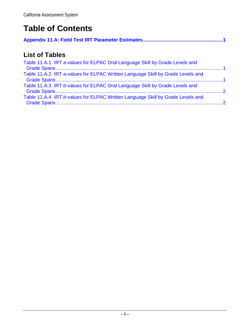## **Table of Contents**

|--|--|

## **List of Tables**

| Table 11.A.1 IRT a-values for ELPAC Oral Language Skill by Grade Levels and    |  |
|--------------------------------------------------------------------------------|--|
| Table 11.A.2 IRT a-values for ELPAC Written Language Skill by Grade Levels and |  |
| Table 11.A.3 IRT b-values for ELPAC Oral Language Skill by Grade Levels and    |  |
| Table 11.A.4 IRT b-values for ELPAC Written Language Skill by Grade Levels and |  |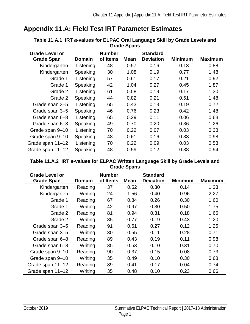## <span id="page-2-1"></span><span id="page-2-0"></span>**Appendix 11.A: Field Test IRT Parameter Estimates**

| <b>Diaut Opalis</b>                        |               |                           |             |                                     |                |                |  |
|--------------------------------------------|---------------|---------------------------|-------------|-------------------------------------|----------------|----------------|--|
| <b>Grade Level or</b><br><b>Grade Span</b> | <b>Domain</b> | <b>Number</b><br>of Items | <b>Mean</b> | <b>Standard</b><br><b>Deviation</b> | <b>Minimum</b> | <b>Maximum</b> |  |
| Kindergarten                               | Listening     | 48                        | 0.57        | 0.16                                | 0.13           | 0.88           |  |
| Kindergarten                               | Speaking      | 30                        | 1.08        | 0.19                                | 0.77           | 1.48           |  |
| Grade 1                                    | Listening     | 57                        | 0.61        | 0.17                                | 0.21           | 0.92           |  |
| Grade 1                                    | Speaking      | 42                        | 1.04        | 0.27                                | 0.45           | 1.87           |  |
| Grade 2                                    | Listening     | 61                        | 0.58        | 0.19                                | 0.17           | 1.30           |  |
| Grade 2                                    | Speaking      | 44                        | 0.82        | 0.21                                | 0.51           | 1.48           |  |
| Grade span 3-5                             | Listening     | 65                        | 0.43        | 0.13                                | 0.19           | 0.72           |  |
| Grade span 3-5                             | Speaking      | 46                        | 0.76        | 0.23                                | 0.42           | 1.48           |  |
| Grade span 6-8                             | Listening     | 65                        | 0.29        | 0.11                                | 0.06           | 0.63           |  |
| Grade span 6-8                             | Speaking      | 49                        | 0.70        | 0.20                                | 0.36           | 1.26           |  |
| Grade span 9-10                            | Listening     | 70                        | 0.22        | 0.07                                | 0.03           | 0.38           |  |
| Grade span 9-10                            | Speaking      | 48                        | 0.61        | 0.16                                | 0.33           | 0.98           |  |
| Grade span 11-12                           | Listening     | 70                        | 0.22        | 0.09                                | 0.03           | 0.53           |  |
| Grade span 11–12                           | Speaking      | 48                        | 0.59        | 0.12                                | 0.38           | 0.94           |  |

**Table 11.A.1 IRT** *a***-values for ELPAC Oral Language Skill by Grade Levels and Grade Spans** 

#### <span id="page-2-2"></span>**Table 11.A.2 IRT** *a***-values for ELPAC Written Language Skill by Grade Levels and Grade Spans**

| <b>Grade Level or</b> |         | <b>Number</b> |             | <b>Standard</b>  |                |                |
|-----------------------|---------|---------------|-------------|------------------|----------------|----------------|
| <b>Grade Span</b>     | Domain  | of Items      | <b>Mean</b> | <b>Deviation</b> | <b>Minimum</b> | <b>Maximum</b> |
| Kindergarten          | Reading | 37            | 0.52        | 0.30             | 0.14           | 1.33           |
| Kindergarten          | Writing | 24            | 1.56        | 0.40             | 0.96           | 2.27           |
| Grade 1               | Reading | 67            | 0.84        | 0.26             | 0.30           | 1.60           |
| Grade 1               | Writing | 42            | 0.97        | 0.30             | 0.50           | 1.75           |
| Grade 2               | Reading | 81            | 0.94        | 0.31             | 0.18           | 1.66           |
| Grade 2               | Writing | 35            | 0.77        | 0.19             | 0.43           | 1.20           |
| Grade span 3-5        | Reading | 91            | 0.61        | 0.27             | 0.12           | 1.25           |
| Grade span 3-5        | Writing | 30            | 0.55        | 0.11             | 0.28           | 0.71           |
| Grade span 6-8        | Reading | 89            | 0.43        | 0.19             | 0.11           | 0.98           |
| Grade span 6-8        | Writing | 35            | 0.53        | 0.10             | 0.31           | 0.70           |
| Grade span 9-10       | Reading | 90            | 0.37        | 0.15             | 0.08           | 0.73           |
| Grade span 9-10       | Writing | 35            | 0.49        | 0.10             | 0.30           | 0.68           |
| Grade span 11-12      | Reading | 89            | 0.41        | 0.17             | 0.04           | 0.74           |
| Grade span 11-12      | Writing | 35            | 0.48        | 0.10             | 0.23           | 0.66           |